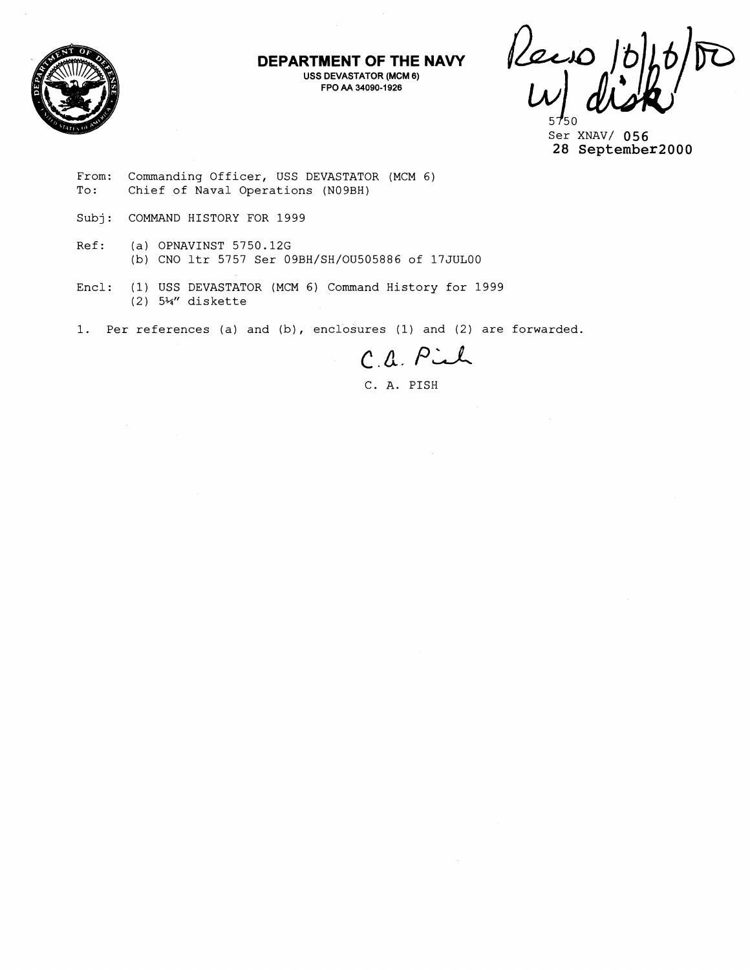

**DEPARTMENT OF THE NAVY USS DEVASTATOR (MCM 6) FPO AA 34090-1 926** 

Recio

Ser XNAV/ **056 28 September2000** 

From: Commanding Officer, USS DEVASTATOR (MCM 6)<br>To: Chief of Naval Operations (N09BH) Chief of Naval Operations (N09BH)

- Subj: COMMAND HISTORY FOR 1999
- Ref: (a) OPNAVINST 5750.12G (b) CNO ltr 5757 Ser 09BH/SH/OU505886 of 17JUL00
- Encl: (1) USS DEVASTATOR (MCM 6) Command History for 1999 (2) 5%" diskette
- 1. Per references (a) and (b), enclosures (1) and (2) are forwarded.

C.a. Piel

C. A. PISH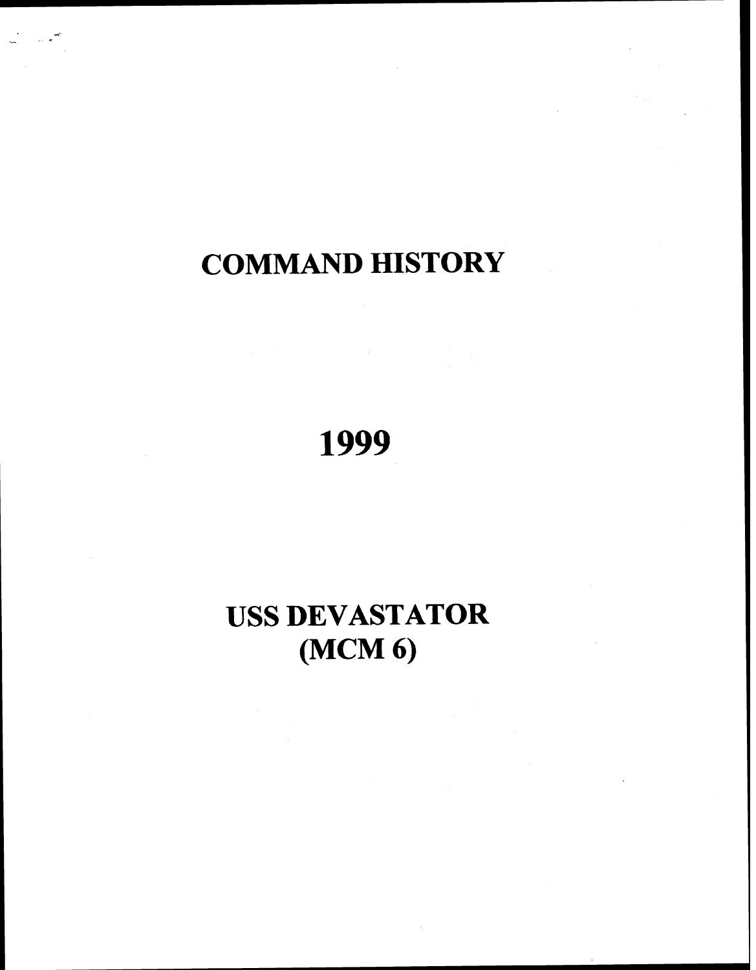# **COMMAND HISTORY**

1999

# **USS DEVASTATOR (MCM 6)**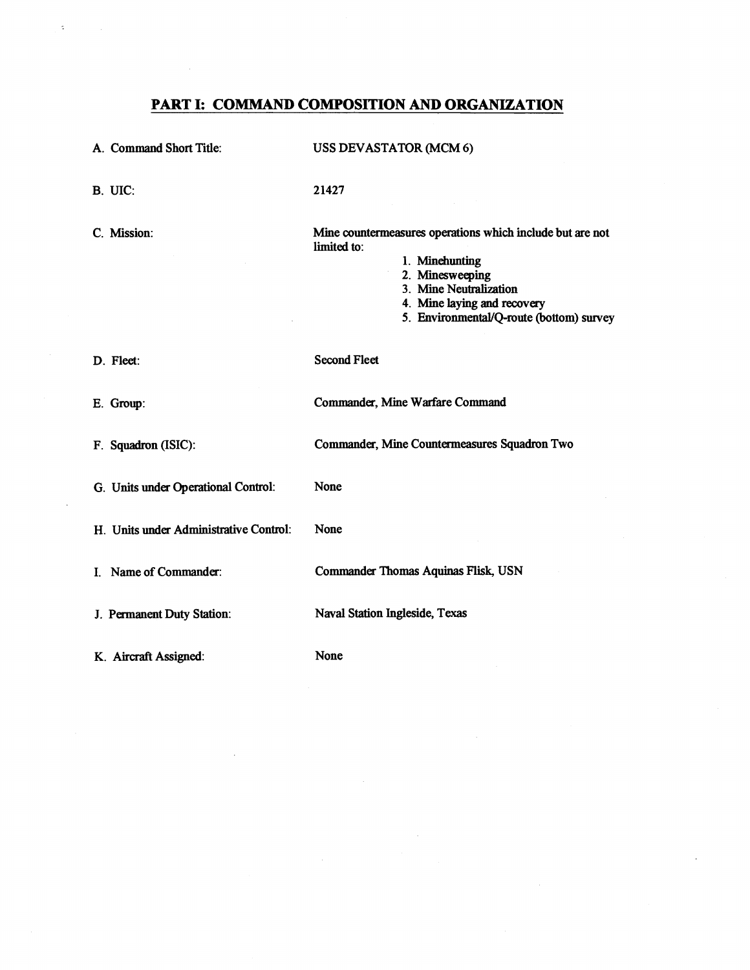# **PART I: COMMAND COMPOSITION AND ORGANIZATION**

 $\hat{\mathbf{z}}$ 

| A. Command Short Title:                | <b>USS DEVASTATOR (MCM 6)</b>                                                                                                                                                                                      |
|----------------------------------------|--------------------------------------------------------------------------------------------------------------------------------------------------------------------------------------------------------------------|
| B. UIC:                                | 21427                                                                                                                                                                                                              |
| C. Mission:                            | Mine countermeasures operations which include but are not<br>limited to:<br>1. Minehunting<br>2. Minesweeping<br>3. Mine Neutralization<br>4. Mine laying and recovery<br>5. Environmental/Q-route (bottom) survey |
| D. Fleet:                              | <b>Second Fleet</b>                                                                                                                                                                                                |
| E. Group:                              | Commander, Mine Warfare Command                                                                                                                                                                                    |
| F. Squadron (ISIC):                    | Commander, Mine Countermeasures Squadron Two                                                                                                                                                                       |
| G. Units under Operational Control:    | None                                                                                                                                                                                                               |
| H. Units under Administrative Control: | None                                                                                                                                                                                                               |
| I. Name of Commander:                  | <b>Commander Thomas Aquinas Flisk, USN</b>                                                                                                                                                                         |
| J. Permanent Duty Station:             | Naval Station Ingleside, Texas                                                                                                                                                                                     |
| K. Aircraft Assigned:                  | None                                                                                                                                                                                                               |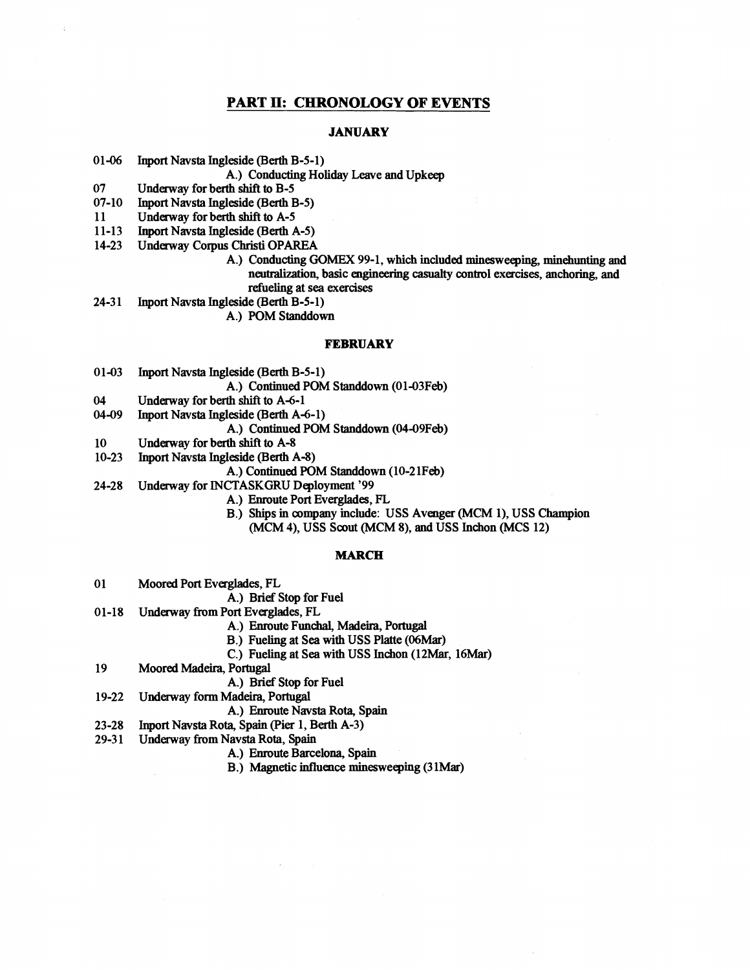# **PART 11: CHRONOLOGY OF EVENTS**

#### **JANUARY**

01-06 Inport Navsta Ingleside **(Berth** B-5-1)

A.) Conducting Holiday Leave and Upkeep

07 Underway for berth shift to B-5

 $07 - 10$ Inport Navsta Ingleside **(Berth** B-5)

11 Underway for **berth** shift to A-5

 $24 - 31$ 

- $11 13$ Inport Navsta Ingleside **(Berth** A-5)
- Underway Corpus Christi OPAREA  $14 - 23$ 
	- A.) Conducting **GOMEX** 99-1, which included minesweeping, minehunting and neutralization, basic engineering casualty control exercises, anchoring, and refueling at sea exercises
	- Inport Navsta Ingleside (Berth B-5-1)

A.) POM Standdown

#### **FEBRUARY**

 $01 - 03$ Inport Navsta Ingleside (Berth B-5-1)

A.) Continued POM Standdown (01-03Feb)

- 04 Underway for berth shift to A-6-1
- 04-09 Inport Navsta Ingleside (Berth A-6-1)

A.) Continued POM Standdown (04-09Feb)

- Underway for berth **shift** to A-8 10
- $10 23$ Inport Navsta Ingleside **(Berth** A-8)

A.) Continued POM Standdown (10-21Feb)

- Underway for INCTASKGRU Deployment '99  $24 - 28$ 
	- A.) Enroute Port Everglades, FL
	- B.) Ships in company include: USS Avenger (MCM **I),** USS Champion (MCM 4), USS Scout (MCM 8), and USS lnchon (MCS 12)

#### **MARCH**

- 01 Moored Port Everglades, FL
	- A.) Brief Stop for Fuel
- $01-18$ Underway **from** Port Everglades, FL
	- A.) Enroute Funchal, Madeira, Portugal
	- B.) Fueling at Sea with USS Platte **(%Mar)**
	- C.) Fueling at Sea with USS Inchon (12Mar, 16Mar)
- 19 Moored Madeira, Portugal
	- A.) Brief Stop for Fuel
- 19-22 Underway form Madeim, Portugal
	- A.) Enroute Navsta Rota, Spain
- $23 28$ Inport Navsta Rota, Spain (Pier 1, Berth A-3)
- $29 31$ Underway from Navsta Rota, Spain
	- A.) Enroute Barcelona, Spain
	- B.) Magnetic influence minesweeping (31Mar)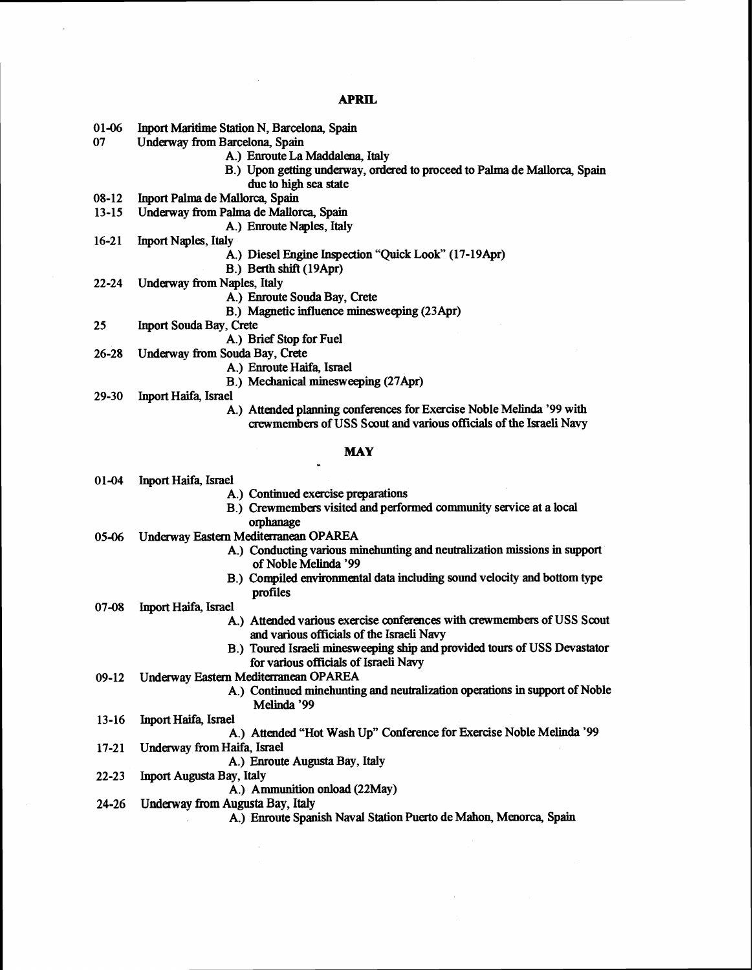# **APRIL**

- Inport Maritime Station N, Barcelona, Spain  $01-06$
- 07 Underway from Barcelona, Spain
	- A.) Enroute La Maddalena. Italy
	- B.) Upon getting underway, ordered to proceed to **Palma** de Mallorca, Spain
	- due to high sea state
- Inport Palma de Mallorca, Spain  $08-12$
- Underway from **Palma** de Mallorca, Spain  $13 - 15$ 
	- A.) Emoute Naples, Italy
- $16 21$ Inport Naples, Italy
	- A.) Diesel Engine Inspection "Quick Look" (17-19Apr)
	- B.) Berth shift (19Apr)
- $22 24$ Underway **from** Naples, Italy
	- A.) Enroute Souda Bay, Crete
	- B.) Magnetic influence minesweeping (23Apr)
- 25 Inport Souda Bay, Crete
	- A.) Brief Stop for Fuel
- $26 28$ Undemay from **Souda** Bay, Crete
	- A.) Enroute Haifa, Israel
	- B.) Mechanical minesweeping (27Apr)
- $29 30$ Inport Haifa, Israel
	- A.) Attended planning conferences for Exercise Noble Melinda '99 with crewmembers of USS Scout and various officials of the Israeli **Navy**

# **MAY**

- Inport Haifa, Israel  $01-04$ 
	- A.) Continued exercise preparations
	- B.) Crewmembers visited and performed community service at a local orphanage
- Underway Eastern Mediterranean OPAREA  $05 - 06$ 
	- A.) Conducting various minehunting and neutralization missions in **support**  of Noble Melinda '99
	- B.) Compiled environmental data including sound velocity and bottom type profiles
- $07 08$ lnport Haifa, Israel
	- A.) Attended various exercise conferences with crewmembers of USS Scout and various officials of the Israeli Navy
	- B.) Toured Israeli minesweeping ship and provided tours of USS Devastator for various officials of Israeli Navy
- Underway **Eastern** Meditaranean OPAREA  $09-12$ 
	- A.) Continued minehunting and neutralization operations in support of Noble Melinda '99
- $13 16$ Inport Haifa, Israel
	- A.) Attended "Hot Wash Up" Conference for Exercise Noble Melinda '99
- Underway from Haifa, Israel  $17 - 21$ 
	- A,) Enroute Augusta Bay, Italy
- $22 23$
- Inport Augusta **Bay,** Italy A.) Ammunition onload (22May)
- $24 26$ **Underway from Augusta Bay, Italy** 
	- A.) Enroute Spanish Naval Station Puerto de Mahon, Menorca, Spain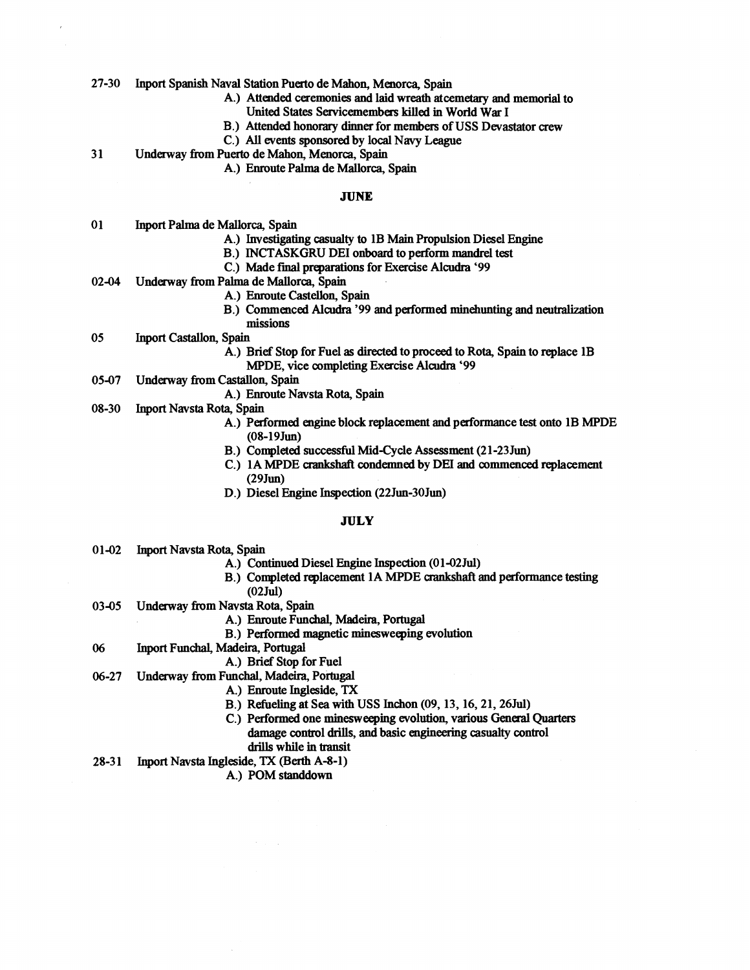27-30 **Inport** Spanish Naval Station Puerto de Mahon, Menorca, Spain

- A.) Attended ceremonies and laid wreath atcemetary and memorial to United States Servicemembers killed in World War I
- B.) Attended honorary dinner for members of USS Devastator crew
- C.) All events sponsored by local Navy League

3 1 Underway from **Puerto** de Mahon, Menorca, Spain

A.) Enroute Palma de Mallorca, Spain

#### **JUNE**

- 0 **1 Inport** Palma de Mallorca, Spain
	- A.) Investigating **casualty** to 1B **Main** Propulsion Diesel Engine
	- B.) INCTASKGRU DEI onboard to perform mandrel test
	- C.) Made final preparations for Exercise Alcudra '99
- 02-04 Underway from Palma de Mallorca, Spain
	- A.) Enroute **Castellon,** Spain
	- B.) Commenced **Alcudra** '99 and performed minehunting and neutralization missions
- 05 **Inport** Castallon, Spain
	- A.) Brief Stop for Fuel as **directed** to proceed to Rota, Spain to replace 1B MPDE, vice completing Exercise Alcudra '99
- 05-07 Underway from Castallon, Spain
	- A.) Enroute Navsta Rota, Spain
- 08-30 Inport Navsta Rota, Spain
	- A.) Performed engine block replacement and performance test onto 1B MPDE (08-l9Jm)
	- B.) Completed **successful** Mid-Cycle Assessment (2 1-23 Jun)
	- C.) 1A MPDE crankshaft condemned by **DEI and** commenced replacement (29Jun)
	- D.) Diesel Engine Inspection (22Jun-30Jun)

#### **JULY**

- 01-02 **Inport** Navsta Rota, Spain
	- A.) Continued Diesel Engine Inspection (01-02 Jul)
		- B.) Completed replacement 1A MPDE crankshaft and performance testing (02 Jul)
- 03-05 Underway from Navsta Rota, Spain
	- A.) Enroute Funchal, Madeira, Portugal
	- B.) Performed magnetic minesweeping evolution
- 06 Inport Funchal, Madeira, Portugal
	- A.) Brief Stop for Fuel
- 06-27 Underway from Funchal, **Madeira,** Portugal
	- A.) Enroute Ingleside, **TX**
	- B.) Refueling at Sea with USS Inchon (09, 13, 16,21,26Jul)
	- C.) Performed one minesweeping evolution, various General Quarters damage control drills, and basic engineering casualty control **drills** while in transit
- 28-3 1 **Inport** Navsta Ingleside, **TX (Berth** A-8-1)

A.) POM standdown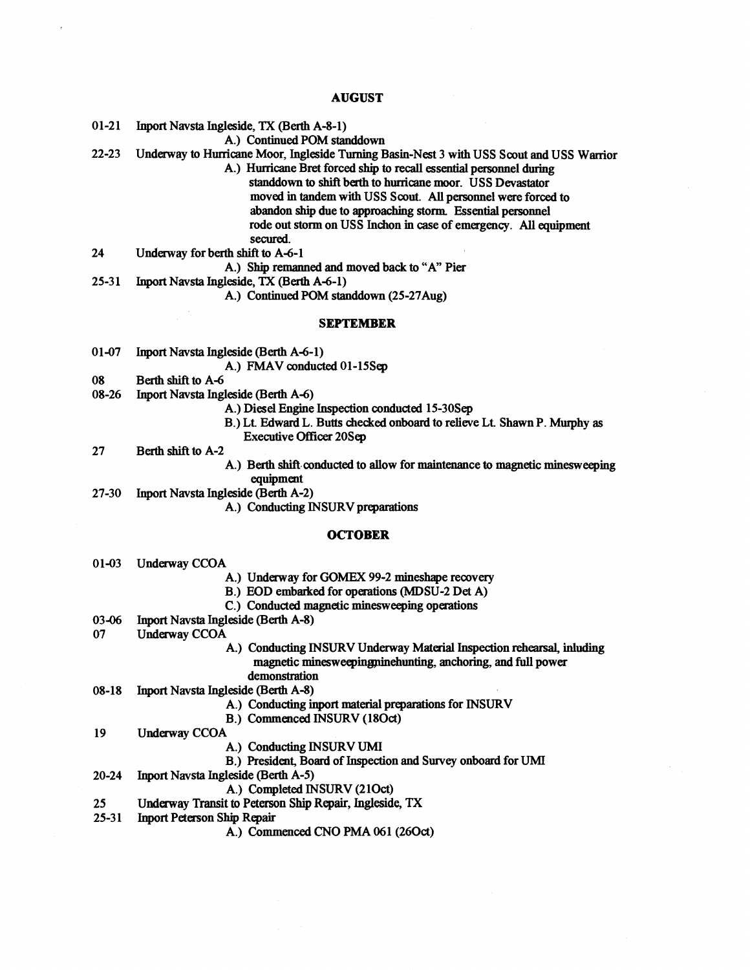## **AUGUST**

 $01-21$ Inport Navsta Ingleside, TX (Berth A-8-1)

- A.) Continued POM standdown
- Underway to Hunicane Moor, Ingleside Turning Basin-Nest 3 with USS Scout **and** USS Wanior  $22 - 23$ 
	- A.) Hwricaae Bret forced ship to recall essential personnel during standdown **to** shift **berth** to hurricane moor. USS Devastator moved in tandem with USS Scout. **All** personnel were forced to abandon ship due to **approaching storm** Essential personnel
		- rode out storm on USS Inchon in case of emergency. All equipment secured.
- Undehway for berth shift **to** A-6-1 24

A.) Ship remanned and moved **back** to "A" Pier

25-31 **Inport Navsta Ingleside, TX (Berth A-6-1)** 

A.) Continued POM standdown (25-27Aug)

#### **SEPTEMBER**

01-07 Inport Navsta Ingleside (Berth A-6-1)

A.) FMAV conducted 01-15Sep

- 08 Berth shift to A-6
- Inport Navsta Ingleside (Berth A-6) 08-26
	- A.) Diesel Engine Inspection conducted 15-30Sep
	- B.) Lt Edward L. Butts checked onboard to relieve Lt Shawn P. Mwphy as Executive **Officer** 20Sq
- 27 Berth **shift** to A-2
	- A.) Berth shift conducted to allow for maintenance to magnetic minesweeping equipment

Inport Navsta Ingleside (Berth A-2) 27-30

A.) Conducting INSURV preparations

#### **OCTOBER**

- Underway CCOA  $01 - 03$ 
	- A.) Underway for GOMEX 99-2 mineshape recovery
	- B.) EOD embarked for operations (MDSU-2 Det A)
	- C.) Conducted magnetic minesweeping operations
- Inport Navsta IngleSide (Berth A-8) 03-06
- 07 **Underway CCOA** 
	- A.) Conducting INSURV Underway Material Inspection **rehearsal,** inluding magnetic minesweepingminehunting, anchoring, and full power demonstration
- Inport Navsta Ingleside (Berth A-8)  $08-18$ 
	- A.) Conducting inport material preparations for **INSURV** 
		- B.) Commenced INSURV (180ct)
- 19 Underway CCOA

25

- A.) Conducting INSURV **WI**
- B.) President, Board of Tnspection **and** Survey onboard for UMI
- Inport Navsta Ingleside (Berth A-5)  $20 - 24$ 
	- A.) Completed INSURV (21Oct)
	- Underway Transit to Peterson **Ship** Repair, Ingleside, **TX**
- Inport Peterson Ship Repair  $25 - 31$ 
	- A.) Commenced CNO PMA 061 (26Oct)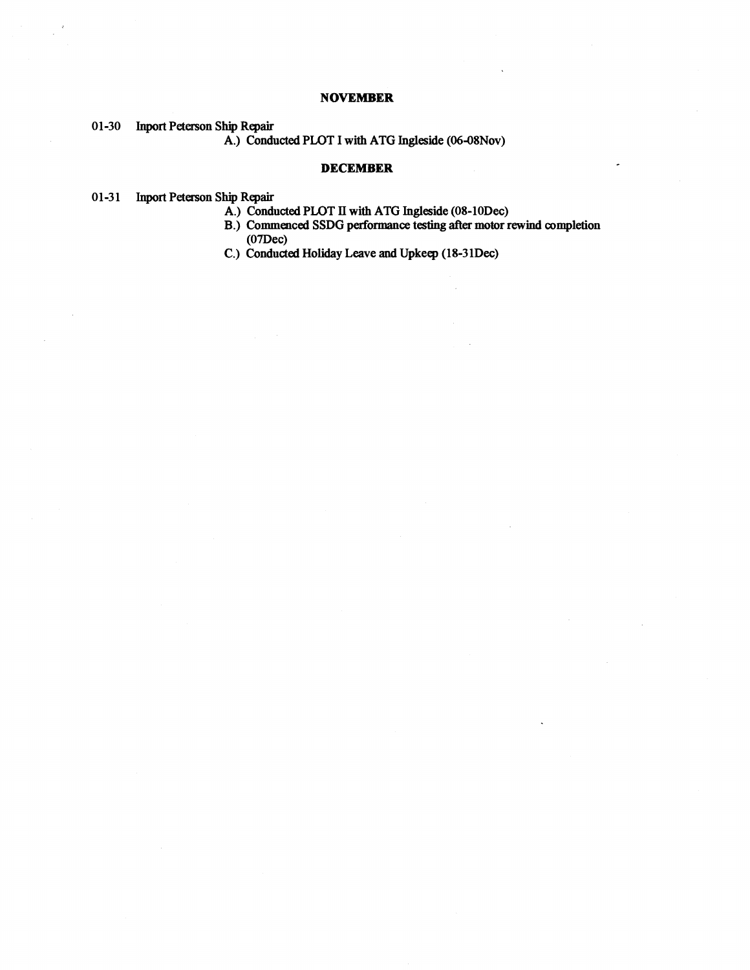# **NOVEMBER**

01-30 Inport Peterson Ship Repair

A.) Conducted PLOT I with ATG Ingleside (06-08Nov)

### **DECEMBER**

# 01-31 Inport Peterson Ship Repair

- A.) Conducted PLOT **I1 with** ATG Ingleside (08-1ODec)
- B.) Commenced SSDG performance **testing after** motor rewind complelion (07Dec)
- C.) Conducted Holiday Leave and Upkeep (18-3 1Dec)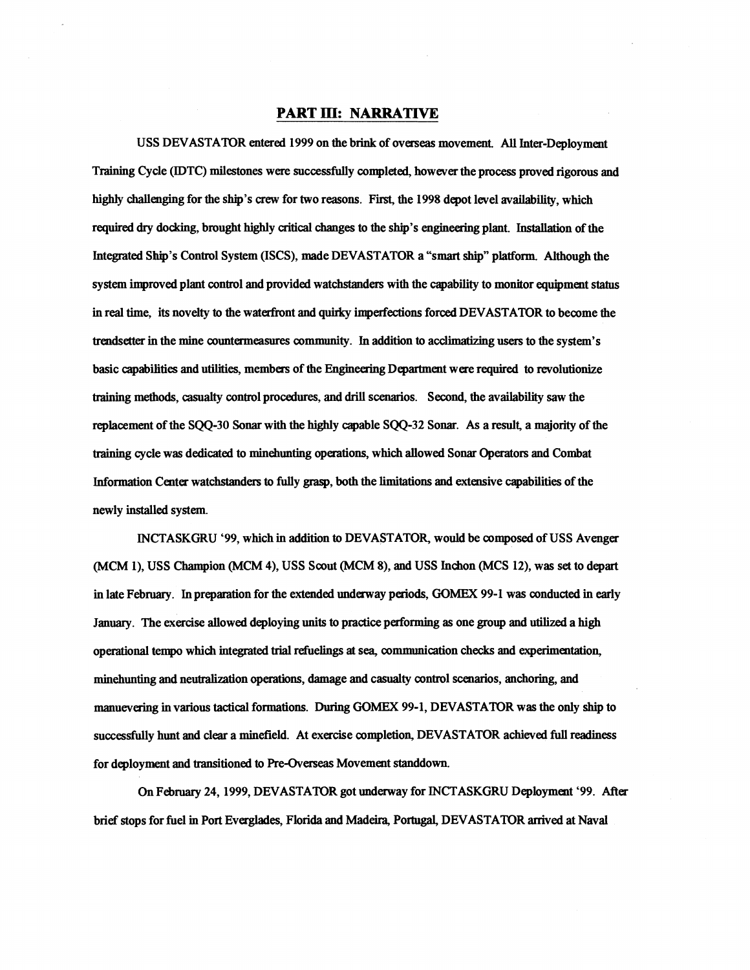# **PART m: NARRATIVE**

USS DEVASTATOR entered 1999 on the brink of overseas movement. **All** Inter-Deployment Training Cycle (IDTC) milestones were successfully completed, however the process proved rigorous and highly challenging for the ship's crew for two reasons. Fist, the 1998 depot level availability, which required dry docking, brought highly critical chauges to the ship's engineering plant. Installation of the Integrated Ship's Control System (ISCS), made DEVASTATOR a "smart **ship"** platform Although the system improved plant control and provided watchstanders with the capability to monitor equipment status in real time, its novelty to the waterfront and quirky imperfections forced DEVASTATOR to become the trendsetter in the mine countermeasures community. In addition to acclimathhg **users** to the system's basic capabilities and utilities, members of the Engineering Departmat were required to revolutionize training methods, **casualty** control procedures, and drill scenarios. Second, the availability saw the replacement of the SQQ-30 Sonar with the highly capable SQQ-32 Sonar. As a result, a majority of the training cycle was dedicated to minehunting operations, which allowed Sonar Operators and Combat Information Center watchstimders **to** fully grasp, both the limitations and extensive capabilities of the newly installed system.

INCTASKGRU '99, which in addition to DEVASTATOR, would be composed of USS Avenger (MCM l), USS Champion (MCM 4), USS Scout (MCM **8),** and USS Inchon (MCS 12), was set to depart in late February. In preparation for the extended underway periods, **GOMEX** 99-1 **was** conducted in early January. The exercise allowed deploying units to practice performing as one group and utilized a high operational tempo which integrated trial refueling at sea, communication checks and experimentation, minehunting and neutralization operations, damage and casualty control scenarios, anchoring, and manuevering in various tactical formations. During **GOMEX** 99-1, DEVASTATOR was the only **ship** to successfully hunt and clear a minefield. At exercise completion, DEVASTATOR achieved full readiness for deployment and transitioned to Pre-Overseas Movement standdown.

On **February** 24,1999, DEVASTATOR got underway for INCTASKGRU Deployment '99. After brief stops for fuel in Port Evergldes, Florida and Madeira, Portugal, DEVASTATOR arrived at Naval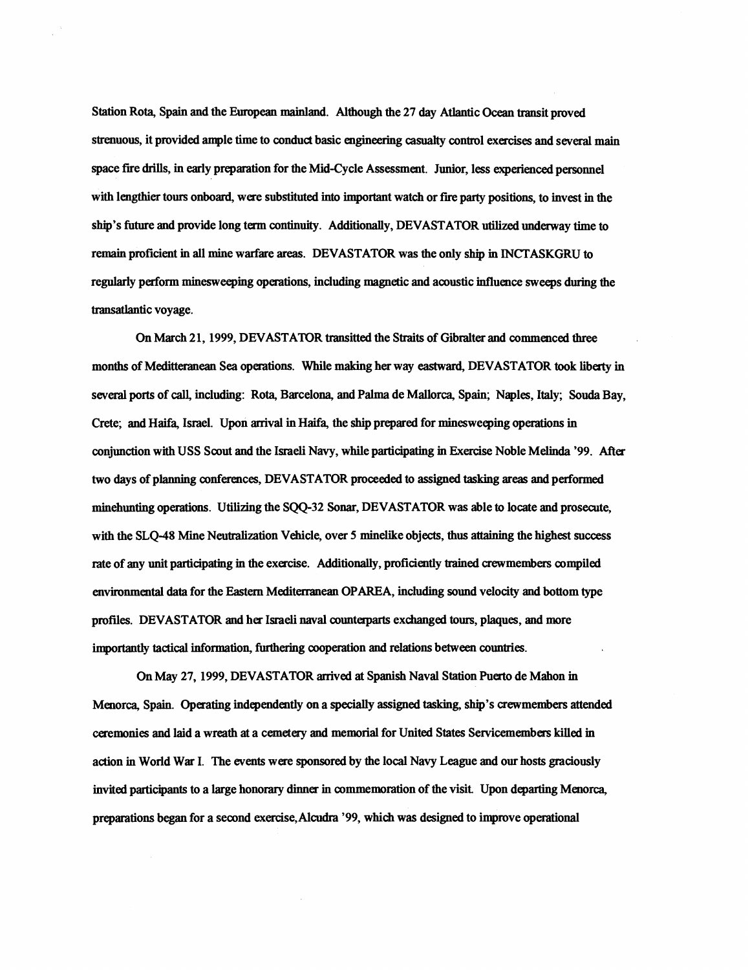Station Rota, Spain **and** the European mainland. Although the **27** day Atlantic **Ocean** transit proved strenuous, it provided ample time to conduct basic engineering **casualty** control exercises and several main space fire drills, in early preparation for the Mid-Cycle Assessment. Junior, less experienced personnel with lengthier tours onboard, were substituted into important watch or fire party positions, to invest in the ship's **future and** provide long term continuity. Additionally, DEVASTATOR utilized underway lime to remain proficient in all mine warfare areas. DEVASTATOR was the only ship in INCTASKGRU to regularly perform minesweeping opemtions, including magnetic **and** acoustic influence sweeps during the transatlantic voyage.

On March **2** 1, 1999, DEVASTATOR transitted the Straits of Gibralter **and** commenced three months of Meditteranean Sea operations. While making her way eastward, DEVASTATOR took liberty in several ports of call, including: Rota, Barcelona, and Palma de Mallorca, Spain; Naples, Italy; **Souda** Bay, Crete; and Haifa, Israel. Upon arrival in Haifa, the ship prepared for minesweeping operations in conjunction with USS Scout and the Israeli Navy, while participating in Exercise Noble Melinda '99. After two **days** of planning conferences, DEVASTATOR proceeded to assigned tasking areas and performed minehunting operations. Utilizing the SQQ-32 **Sonar,** DEVASTATOR was able to locate and prosecute, with the SLQ-48 Mine Neutralization Vehicle, over 5 minelike objects, thus attaining the highest success rate of any unit participating in the exercise. Additionally, proficiently trained crewmembers compiled environmental data for the Eastern Mediterranean OPAREA, including sound velocity **and** bottom type profiles. DEVASTATOR **and** her Israeli naval counteqmts exchanged tours, plaques, **and** more importantly tactical information, furthering cooperation and relations between countries.

On May **27,** 1999, DEVASTATOR arrived **at** Spanish Naval Station Puerto de Mahon in Menorca, Spain. Operating independently on a specially assigned tasking, ship's crewmembers attended ceremonies **and** laid a wreath **at** a cemetery **and** memorial for United States Servicemembers killed in action in World War I. The events were **sponsored** by the local Navy League and our hosts graciously invited participants to a large honorary dinner in commemoration of the visit. Upon departing Menorca, preparations began for a second exercise,Alcudm '99, which was designed to improve operational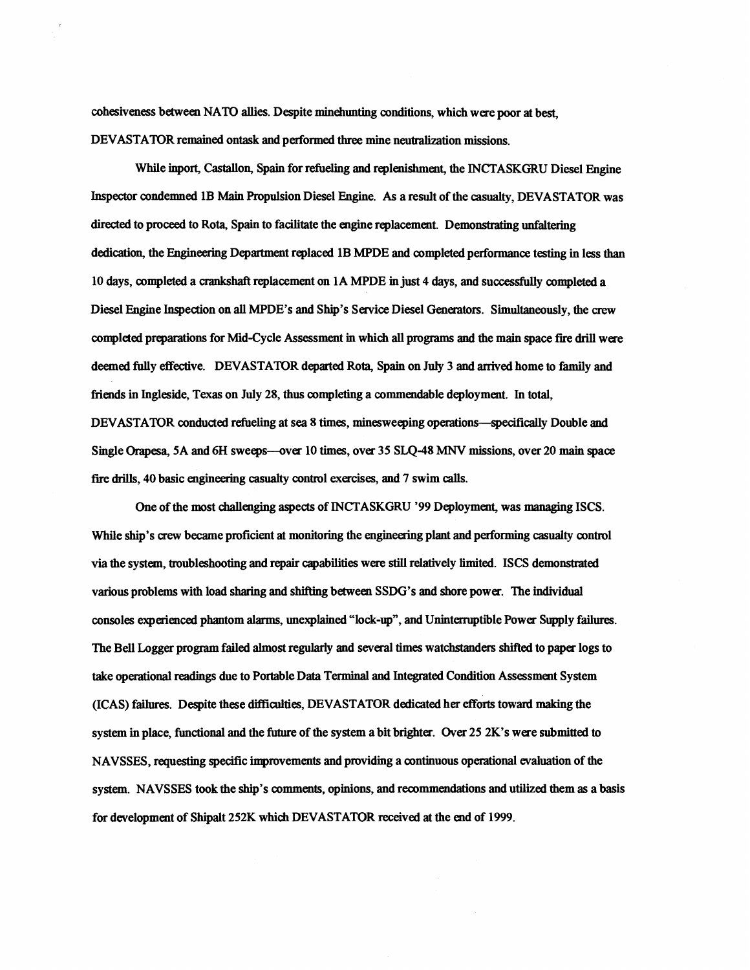cohesiveness between NATO allies. Despite minehunting conditions, which were poor **at** best, DEVASTATOR remained ontask and performed three mine neutralization missions,

While inport, Castallon, **Spain** for refueling and replenishment, the INCTASKGRU Diesel Engine Inspector condemned 1B Main Propulsion Diesel Engine. As a result of the **casualty,** DEVASTATOR was directed to proceed to Rota, Spain to facilitate the engine replacement. Demonstrating unfatering dedication, the Engineering Department replaced 1B MPDE and completed performance testing in less than 10 days, completed a **amkshaft** replacement on 1A MPDE **m** just 4 days, and successfully completed a Diesel Engine Inspection on **all** MPDE's **and** Ship's Service Diesel Generaton. Simultaneously, the crew complaed preprations for Mid-Cycle Assessment **in** which **all** programs **and** the main space **fire** dtill were deemed fully effective. DEVASTATOR departed Rota, Spain on July 3 and arrived home to family **and friends** in Ingleside, Texas on July 28, thus completing a commendable deployment. In total, DEVASTATOR conducted refueling at sea 8 limes, minesweeping opemtions-specifically Double **and**  Single Orapesa, 5A and 6H sweeps--over 10 times, over 35 SLQ-48 MNV missions, over 20 main space **fire** drills, 40 basic engineering casualty control exercises, and 7 swim calls.

One of the most challenging aspects of INCTASKGRU '99 Deployment, was managing ISCS. While ship's crew became proficient **at** monitoring the engineering plant and performing casualty control via the system, troubleshooting and repair capabilities were still relatively limited. ISCS demonstrated various problems with load sharing and shifting between SSDG's and shore power. The individual consoles experienced phantom alarms, unexplained "lock-up", and Uninterruptible Power Supply failures. The Bell **Logger** program failed almost regularly and several times watchstandas shifted to paper logs to take operational **readings** due to Portable Data Terminal **and** Integrated Condition Assessment System (ICAS) failures. Despite these difficulties, DEVASTATOR dedicated her efforts toward making the system in place, functional **and** the future of the system a bit brighter. **Over** 25 2K's were submitted to NAVSSES, requesting specific improvements **and** providing a continuous opemtional evaluation of the system. NAVSSES took the ship's comments, opinions, and recommendations **and** utilized them as a basis for development of Shipalt 252K **which** DEVASTATOR received **at** the end of 1999.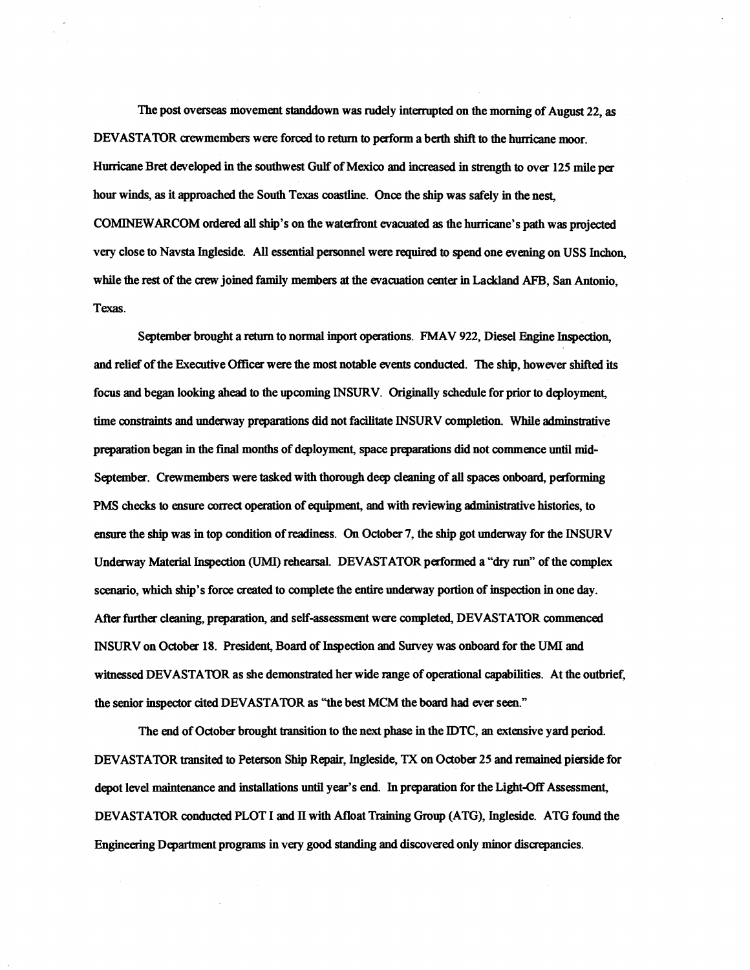The post overseas movement standdown was rudely interrupted on the morning of August 22, as DEVASTATOR crewmembers were forced to return to perform a berth shift to the hurricane moor. Hurricane Bret developed in the southwest Gulf of Mexico and increased in strength to over 125 mile per hour winds, as it approached the South Texas coastline. **Once** the ship was safely in the nest, COMINEWARCOM ordered **all** ship's on the waterhnt evacuated as the hurricane's path was projected very close to **Navsta** Ingleside. **All** essential personnel were **required** to spend one evening on USS Inchon, while the rest of the crew joined family members at the evacuation center in Lackland AFB, San Antonio, Texas.

September brought a return to normal inport operations. FMAV 922, Diesel Engine Inspection, and relief of the Executive Officer were the most notable events conducted. The ship, however shifted its focus and began looking **ahead** to the upcoming INSURV. Originally schedule for prior to deployment, time constraints and underway preparations did not facilitate INSURV completion. While adminstrative preparation began in the **final** months of deployment, **space** prepsitions did not commence until mid-September. Crewmembers were tasked with thorough deep deaning of **all** spaces onboard, performing PMS checks to ensure correct operation of equipment, and with reviewing administrative histories, to ensure the ship was in top condition of readiness. On October 7, the ship got underway for the INSURV Underway Material Inspection (UMI) rehearsal. DEVASTATOR performed a "dry **run"** of the complex scenario, which ship's force **created** to complete the entire underway portion of inspection in one day. After further cleaning, preparation, and self-assessment were completed, DEVASTATOR commenced INSURV on October 18. President, Board of Inspection **and** Sutvey was onboard for the **UMI** and witnessed DEVASTATOR as she demonstrated her wide range of operational capabilities. At the outbrief, the senior inspector cited DEVASTATOR as "the best MCM the board had ever seen."

The end of October brought transition to the next phase in the IDTC, an extensive yard period. DEVASTATOR transited to Peterson Ship Repair, Ingleside, **TX** on October 25 and remained pigside for depot level maintenance **and** installations until year's end. In preparation for the Light-Off Assessment, DEVASTATOR conducted PLOT I and **I1** with Afloat Training Group (ATG), Ingleside. ATG found the Engineering Department programs in very good standing and discovered only minor discrepancies.